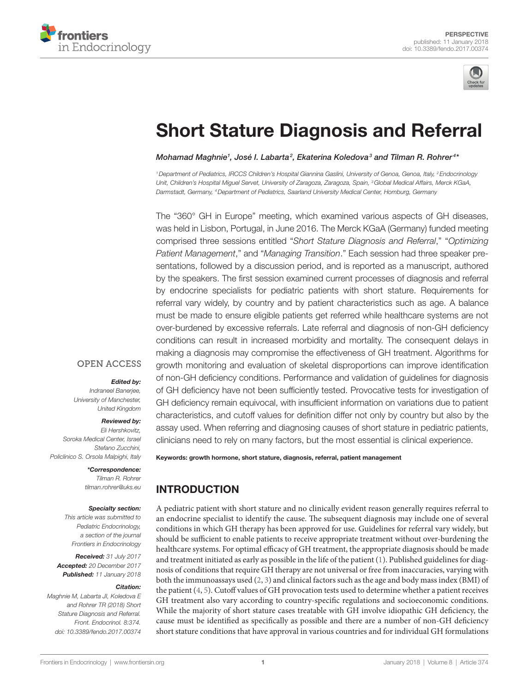



# **Short Stature Diagnosis and Referral**

*[Mohamad Maghnie](http://loop.frontiersin.org/people/9473)1 , [José I. Labarta2](http://loop.frontiersin.org/people/464534) , [Ekaterina Koledova3](http://loop.frontiersin.org/people/459824) and [Tilman R. Rohrer](http://loop.frontiersin.org/people/459823) <sup>4</sup> \**

*1Department of Pediatrics, IRCCS Children's Hospital Giannina Gaslini, University of Genoa, Genoa, Italy, 2Endocrinology Unit, Children's Hospital Miguel Servet, University of Zaragoza, Zaragoza, Spain, 3Global Medical Affairs, Merck KGaA, Darmstadt, Germany, 4Department of Pediatrics, Saarland University Medical Center, Homburg, Germany*

The "360° GH in Europe" meeting, which examined various aspects of GH diseases, was held in Lisbon, Portugal, in June 2016. The Merck KGaA (Germany) funded meeting comprised three sessions entitled "*Short Stature Diagnosis and Referral*," "*Optimizing Patient Management*," and "*Managing Transition*." Each session had three speaker presentations, followed by a discussion period, and is reported as a manuscript, authored by the speakers. The first session examined current processes of diagnosis and referral by endocrine specialists for pediatric patients with short stature. Requirements for referral vary widely, by country and by patient characteristics such as age. A balance must be made to ensure eligible patients get referred while healthcare systems are not over-burdened by excessive referrals. Late referral and diagnosis of non-GH deficiency conditions can result in increased morbidity and mortality. The consequent delays in making a diagnosis may compromise the effectiveness of GH treatment. Algorithms for growth monitoring and evaluation of skeletal disproportions can improve identification of non-GH deficiency conditions. Performance and validation of guidelines for diagnosis of GH deficiency have not been sufficiently tested. Provocative tests for investigation of GH deficiency remain equivocal, with insufficient information on variations due to patient characteristics, and cutoff values for definition differ not only by country but also by the assay used. When referring and diagnosing causes of short stature in pediatric patients, clinicians need to rely on many factors, but the most essential is clinical experience.

## **OPEN ACCESS**

#### *Edited by:*

*Indraneel Banerjee, University of Manchester, United Kingdom*

#### *Reviewed by:*

*Eli Hershkovitz, Soroka Medical Center, Israel Stefano Zucchini, Policlinico S. Orsola Malpighi, Italy*

> *\*Correspondence: Tilman R. Rohrer [tilman.rohrer@uks.eu](mailto:tilman.rohrer@uks.eu)*

#### *Specialty section:*

*This article was submitted to Pediatric Endocrinology, a section of the journal Frontiers in Endocrinology*

*Received: 31 July 2017 Accepted: 20 December 2017 Published: 11 January 2018*

#### *Citation:*

*Maghnie M, Labarta JI, Koledova E and Rohrer TR (2018) Short Stature Diagnosis and Referral. Front. Endocrinol. 8:374. doi: [10.3389/fendo.2017.00374](https://doi.org/10.3389/fendo.2017.00374)*

Keywords: growth hormone, short stature, diagnosis, referral, patient management

# INTRODUCTION

A pediatric patient with short stature and no clinically evident reason generally requires referral to an endocrine specialist to identify the cause. The subsequent diagnosis may include one of several conditions in which GH therapy has been approved for use. Guidelines for referral vary widely, but should be sufficient to enable patients to receive appropriate treatment without over-burdening the healthcare systems. For optimal efficacy of GH treatment, the appropriate diagnosis should be made and treatment initiated as early as possible in the life of the patient [\(1\)](#page-4-0). Published guidelines for diagnosis of conditions that require GH therapy are not universal or free from inaccuracies, varying with both the immunoassays used [\(2,](#page-4-1) [3](#page-4-2)) and clinical factors such as the age and body mass index (BMI) of the patient [\(4,](#page-5-0) [5](#page-5-1)). Cutoff values of GH provocation tests used to determine whether a patient receives GH treatment also vary according to country-specific regulations and socioeconomic conditions. While the majority of short stature cases treatable with GH involve idiopathic GH deficiency, the cause must be identified as specifically as possible and there are a number of non-GH deficiency short stature conditions that have approval in various countries and for individual GH formulations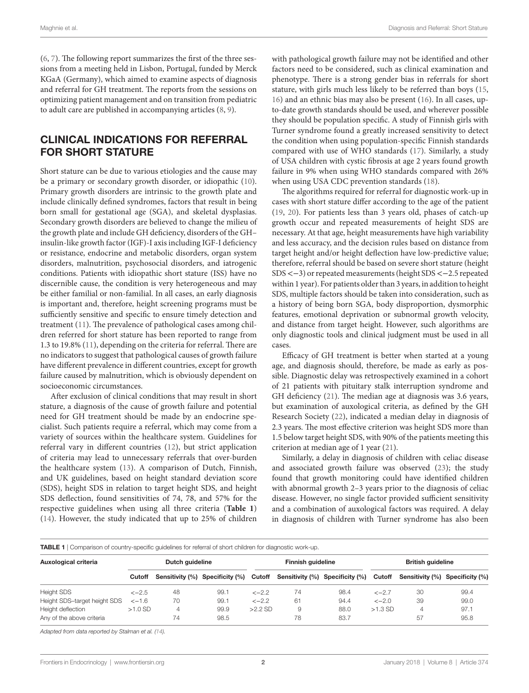([6](#page-5-3), [7](#page-5-4)). The following report summarizes the first of the three sessions from a meeting held in Lisbon, Portugal, funded by Merck KGaA (Germany), which aimed to examine aspects of diagnosis and referral for GH treatment. The reports from the sessions on optimizing patient management and on transition from pediatric to adult care are published in accompanying articles [\(8,](#page-5-5) [9\)](#page-5-6).

## CLINICAL INDICATIONS FOR REFERRAL FOR SHORT STATURE

Short stature can be due to various etiologies and the cause may be a primary or secondary growth disorder, or idiopathic ([10\)](#page-5-7). Primary growth disorders are intrinsic to the growth plate and include clinically defined syndromes, factors that result in being born small for gestational age (SGA), and skeletal dysplasias. Secondary growth disorders are believed to change the milieu of the growth plate and include GH deficiency, disorders of the GH– insulin-like growth factor (IGF)-I axis including IGF-I deficiency or resistance, endocrine and metabolic disorders, organ system disorders, malnutrition, psychosocial disorders, and iatrogenic conditions. Patients with idiopathic short stature (ISS) have no discernible cause, the condition is very heterogeneous and may be either familial or non-familial. In all cases, an early diagnosis is important and, therefore, height screening programs must be sufficiently sensitive and specific to ensure timely detection and treatment ([11\)](#page-5-8). The prevalence of pathological cases among children referred for short stature has been reported to range from 1.3 to 19.8% [\(11](#page-5-8)), depending on the criteria for referral. There are no indicators to suggest that pathological causes of growth failure have different prevalence in different countries, except for growth failure caused by malnutrition, which is obviously dependent on socioeconomic circumstances.

After exclusion of clinical conditions that may result in short stature, a diagnosis of the cause of growth failure and potential need for GH treatment should be made by an endocrine specialist. Such patients require a referral, which may come from a variety of sources within the healthcare system. Guidelines for referral vary in different countries [\(12\)](#page-5-9), but strict application of criteria may lead to unnecessary referrals that over-burden the healthcare system ([13](#page-5-10)). A comparison of Dutch, Finnish, and UK guidelines, based on height standard deviation score (SDS), height SDS in relation to target height SDS, and height SDS deflection, found sensitivities of 74, 78, and 57% for the respective guidelines when using all three criteria (**[Table 1](#page-1-0)**) ([14\)](#page-5-2). However, the study indicated that up to 25% of children

with pathological growth failure may not be identified and other factors need to be considered, such as clinical examination and phenotype. There is a strong gender bias in referrals for short stature, with girls much less likely to be referred than boys ([15,](#page-5-11) [16](#page-5-12)) and an ethnic bias may also be present ([16\)](#page-5-12). In all cases, upto-date growth standards should be used, and wherever possible they should be population specific. A study of Finnish girls with Turner syndrome found a greatly increased sensitivity to detect the condition when using population-specific Finnish standards compared with use of WHO standards ([17](#page-5-13)). Similarly, a study of USA children with cystic fibrosis at age 2 years found growth failure in 9% when using WHO standards compared with 26% when using USA CDC prevention standards [\(18](#page-5-14)).

The algorithms required for referral for diagnostic work-up in cases with short stature differ according to the age of the patient [\(19,](#page-5-15) [20](#page-5-16)). For patients less than 3 years old, phases of catch-up growth occur and repeated measurements of height SDS are necessary. At that age, height measurements have high variability and less accuracy, and the decision rules based on distance from target height and/or height deflection have low-predictive value; therefore, referral should be based on severe short stature (height SDS <−3) or repeated measurements (height SDS <−2.5 repeated within 1 year). For patients older than 3 years, in addition to height SDS, multiple factors should be taken into consideration, such as a history of being born SGA, body disproportion, dysmorphic features, emotional deprivation or subnormal growth velocity, and distance from target height. However, such algorithms are only diagnostic tools and clinical judgment must be used in all cases.

Efficacy of GH treatment is better when started at a young age, and diagnosis should, therefore, be made as early as possible. Diagnostic delay was retrospectively examined in a cohort of 21 patients with pituitary stalk interruption syndrome and GH deficiency ([21\)](#page-5-17). The median age at diagnosis was 3.6 years, but examination of auxological criteria, as defined by the GH Research Society ([22\)](#page-5-18), indicated a median delay in diagnosis of 2.3 years. The most effective criterion was height SDS more than 1.5 below target height SDS, with 90% of the patients meeting this criterion at median age of 1 year ([21\)](#page-5-17).

Similarly, a delay in diagnosis of children with celiac disease and associated growth failure was observed ([23\)](#page-5-19); the study found that growth monitoring could have identified children with abnormal growth 2–3 years prior to the diagnosis of celiac disease. However, no single factor provided sufficient sensitivity and a combination of auxological factors was required. A delay in diagnosis of children with Turner syndrome has also been

<span id="page-1-0"></span>

| TABLE 1   Comparison of country-specific guidelines for referral of short children for diagnostic work-up. |
|------------------------------------------------------------------------------------------------------------|
|                                                                                                            |

| Auxological criteria                           | Dutch guideline |         |                                 |           | Finnish guideline                      |              |           | <b>British guideline</b>               |              |  |
|------------------------------------------------|-----------------|---------|---------------------------------|-----------|----------------------------------------|--------------|-----------|----------------------------------------|--------------|--|
|                                                | Cutoff          |         | Sensitivity (%) Specificity (%) |           | Cutoff Sensitivity (%) Specificity (%) |              |           | Cutoff Sensitivity (%) Specificity (%) |              |  |
| <b>Height SDS</b>                              | $<-2.5$         | 48      | 99.1                            | $<-2.2$   | 74                                     | 98.4         | $<-2.7$   | 30                                     | 99.4         |  |
| Height SDS-target height SDS                   | $<-1.6$         | 70      | 99.1                            | $<-2.2$   | 61                                     | 94.4         | $<-2.0$   | 39                                     | 99.0         |  |
| Height deflection<br>Any of the above criteria | $>1.0$ SD       | 4<br>74 | 99.9<br>98.5                    | $>2.2$ SD | 9<br>78                                | 88.0<br>83.7 | $>1.3$ SD | 57                                     | 97.1<br>95.8 |  |

*Adapted from data reported by Stalman et al. ([14\)](#page-5-2).*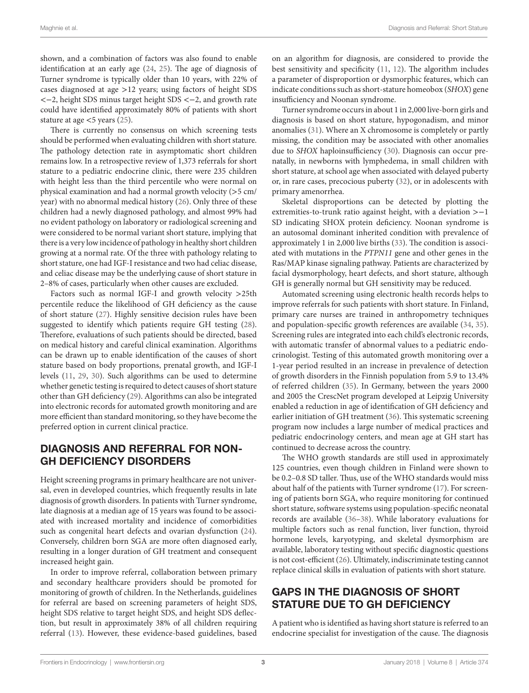shown, and a combination of factors was also found to enable identification at an early age [\(24](#page-5-20), [25](#page-5-21)). The age of diagnosis of Turner syndrome is typically older than 10 years, with 22% of cases diagnosed at age >12 years; using factors of height SDS <−2, height SDS minus target height SDS <−2, and growth rate could have identified approximately 80% of patients with short stature at age  $\lt$ 5 years ([25](#page-5-21)).

There is currently no consensus on which screening tests should be performed when evaluating children with short stature. The pathology detection rate in asymptomatic short children remains low. In a retrospective review of 1,373 referrals for short stature to a pediatric endocrine clinic, there were 235 children with height less than the third percentile who were normal on physical examination and had a normal growth velocity (>5 cm/ year) with no abnormal medical history ([26\)](#page-5-22). Only three of these children had a newly diagnosed pathology, and almost 99% had no evident pathology on laboratory or radiological screening and were considered to be normal variant short stature, implying that there is a very low incidence of pathology in healthy short children growing at a normal rate. Of the three with pathology relating to short stature, one had IGF-I resistance and two had celiac disease, and celiac disease may be the underlying cause of short stature in 2–8% of cases, particularly when other causes are excluded.

Factors such as normal IGF-I and growth velocity >25th percentile reduce the likelihood of GH deficiency as the cause of short stature [\(27](#page-5-23)). Highly sensitive decision rules have been suggested to identify which patients require GH testing ([28\)](#page-5-24). Therefore, evaluations of such patients should be directed, based on medical history and careful clinical examination. Algorithms can be drawn up to enable identification of the causes of short stature based on body proportions, prenatal growth, and IGF-I levels ([11](#page-5-8), [29](#page-5-25), [30](#page-5-26)). Such algorithms can be used to determine whether genetic testing is required to detect causes of short stature other than GH deficiency [\(29](#page-5-25)). Algorithms can also be integrated into electronic records for automated growth monitoring and are more efficient than standard monitoring, so they have become the preferred option in current clinical practice.

#### DIAGNOSIS AND REFERRAL FOR NON-GH DEFICIENCY DISORDERS

Height screening programs in primary healthcare are not universal, even in developed countries, which frequently results in late diagnosis of growth disorders. In patients with Turner syndrome, late diagnosis at a median age of 15 years was found to be associated with increased mortality and incidence of comorbidities such as congenital heart defects and ovarian dysfunction ([24\)](#page-5-20). Conversely, children born SGA are more often diagnosed early, resulting in a longer duration of GH treatment and consequent increased height gain.

In order to improve referral, collaboration between primary and secondary healthcare providers should be promoted for monitoring of growth of children. In the Netherlands, guidelines for referral are based on screening parameters of height SDS, height SDS relative to target height SDS, and height SDS deflection, but result in approximately 38% of all children requiring referral [\(13](#page-5-10)). However, these evidence-based guidelines, based on an algorithm for diagnosis, are considered to provide the best sensitivity and specificity ([11](#page-5-8), [12\)](#page-5-9). The algorithm includes a parameter of disproportion or dysmorphic features, which can indicate conditions such as short-stature homeobox (*SHOX*) gene insufficiency and Noonan syndrome.

Turner syndrome occurs in about 1 in 2,000 live-born girls and diagnosis is based on short stature, hypogonadism, and minor anomalies ([31](#page-5-27)). Where an X chromosome is completely or partly missing, the condition may be associated with other anomalies due to *SHOX* haploinsufficiency ([30\)](#page-5-26). Diagnosis can occur prenatally, in newborns with lymphedema, in small children with short stature, at school age when associated with delayed puberty or, in rare cases, precocious puberty [\(32](#page-5-28)), or in adolescents with primary amenorrhea.

Skeletal disproportions can be detected by plotting the extremities-to-trunk ratio against height, with a deviation >−1 SD indicating SHOX protein deficiency. Noonan syndrome is an autosomal dominant inherited condition with prevalence of approximately 1 in 2,000 live births [\(33](#page-5-29)). The condition is associated with mutations in the *PTPN11* gene and other genes in the Ras/MAP kinase signaling pathway. Patients are characterized by facial dysmorphology, heart defects, and short stature, although GH is generally normal but GH sensitivity may be reduced.

Automated screening using electronic health records helps to improve referrals for such patients with short stature. In Finland, primary care nurses are trained in anthropometry techniques and population-specific growth references are available ([34,](#page-5-30) [35](#page-5-31)). Screening rules are integrated into each child's electronic records, with automatic transfer of abnormal values to a pediatric endocrinologist. Testing of this automated growth monitoring over a 1-year period resulted in an increase in prevalence of detection of growth disorders in the Finnish population from 5.9 to 13.4% of referred children ([35\)](#page-5-31). In Germany, between the years 2000 and 2005 the CrescNet program developed at Leipzig University enabled a reduction in age of identification of GH deficiency and earlier initiation of GH treatment [\(36](#page-5-32)). This systematic screening program now includes a large number of medical practices and pediatric endocrinology centers, and mean age at GH start has continued to decrease across the country.

The WHO growth standards are still used in approximately 125 countries, even though children in Finland were shown to be 0.2–0.8 SD taller. Thus, use of the WHO standards would miss about half of the patients with Turner syndrome ([17](#page-5-13)). For screening of patients born SGA, who require monitoring for continued short stature, software systems using population-specific neonatal records are available ([36–](#page-5-32)[38\)](#page-5-33). While laboratory evaluations for multiple factors such as renal function, liver function, thyroid hormone levels, karyotyping, and skeletal dysmorphism are available, laboratory testing without specific diagnostic questions is not cost-efficient [\(26\)](#page-5-22). Ultimately, indiscriminate testing cannot replace clinical skills in evaluation of patients with short stature.

## GAPS IN THE DIAGNOSIS OF SHORT STATURE DUE TO GH DEFICIENCY

A patient who is identified as having short stature is referred to an endocrine specialist for investigation of the cause. The diagnosis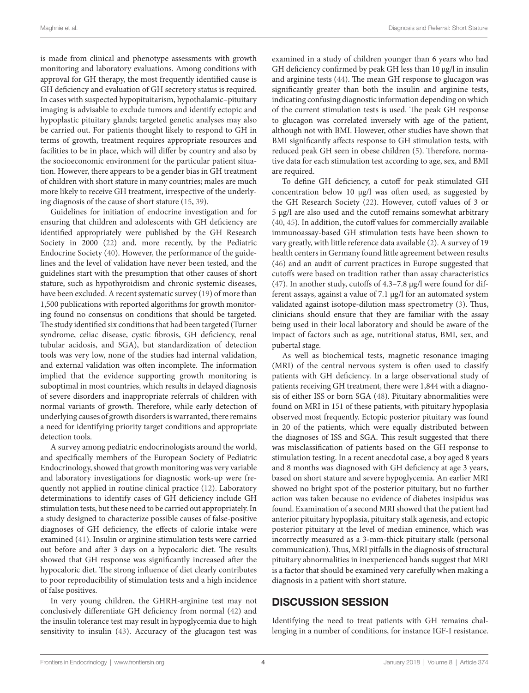is made from clinical and phenotype assessments with growth monitoring and laboratory evaluations. Among conditions with approval for GH therapy, the most frequently identified cause is GH deficiency and evaluation of GH secretory status is required. In cases with suspected hypopituitarism, hypothalamic–pituitary imaging is advisable to exclude tumors and identify ectopic and hypoplastic pituitary glands; targeted genetic analyses may also be carried out. For patients thought likely to respond to GH in terms of growth, treatment requires appropriate resources and facilities to be in place, which will differ by country and also by the socioeconomic environment for the particular patient situation. However, there appears to be a gender bias in GH treatment of children with short stature in many countries; males are much more likely to receive GH treatment, irrespective of the underlying diagnosis of the cause of short stature ([15,](#page-5-11) [39](#page-5-34)).

Guidelines for initiation of endocrine investigation and for ensuring that children and adolescents with GH deficiency are identified appropriately were published by the GH Research Society in 2000 [\(22](#page-5-18)) and, more recently, by the Pediatric Endocrine Society (40). However, the performance of the guidelines and the level of validation have never been tested, and the guidelines start with the presumption that other causes of short stature, such as hypothyroidism and chronic systemic diseases, have been excluded. A recent systematic survey ([19\)](#page-5-15) of more than 1,500 publications with reported algorithms for growth monitoring found no consensus on conditions that should be targeted. The study identified six conditions that had been targeted (Turner syndrome, celiac disease, cystic fibrosis, GH deficiency, renal tubular acidosis, and SGA), but standardization of detection tools was very low, none of the studies had internal validation, and external validation was often incomplete. The information implied that the evidence supporting growth monitoring is suboptimal in most countries, which results in delayed diagnosis of severe disorders and inappropriate referrals of children with normal variants of growth. Therefore, while early detection of underlying causes of growth disorders is warranted, there remains a need for identifying priority target conditions and appropriate detection tools.

A survey among pediatric endocrinologists around the world, and specifically members of the European Society of Pediatric Endocrinology, showed that growth monitoring was very variable and laboratory investigations for diagnostic work-up were frequently not applied in routine clinical practice ([12\)](#page-5-9). Laboratory determinations to identify cases of GH deficiency include GH stimulation tests, but these need to be carried out appropriately. In a study designed to characterize possible causes of false-positive diagnoses of GH deficiency, the effects of calorie intake were examined ([41](#page-5-35)). Insulin or arginine stimulation tests were carried out before and after 3 days on a hypocaloric diet. The results showed that GH response was significantly increased after the hypocaloric diet. The strong influence of diet clearly contributes to poor reproducibility of stimulation tests and a high incidence of false positives.

In very young children, the GHRH-arginine test may not conclusively differentiate GH deficiency from normal [\(42](#page-5-36)) and the insulin tolerance test may result in hypoglycemia due to high sensitivity to insulin [\(43](#page-5-37)). Accuracy of the glucagon test was

examined in a study of children younger than 6 years who had GH deficiency confirmed by peak GH less than 10 µg/l in insulin and arginine tests [\(44](#page-6-0)). The mean GH response to glucagon was significantly greater than both the insulin and arginine tests, indicating confusing diagnostic information depending on which of the current stimulation tests is used. The peak GH response to glucagon was correlated inversely with age of the patient, although not with BMI. However, other studies have shown that BMI significantly affects response to GH stimulation tests, with reduced peak GH seen in obese children [\(5](#page-5-1)). Therefore, normative data for each stimulation test according to age, sex, and BMI are required.

To define GH deficiency, a cutoff for peak stimulated GH concentration below 10 µg/l was often used, as suggested by the GH Research Society ([22\)](#page-5-18). However, cutoff values of 3 or 5 µg/l are also used and the cutoff remains somewhat arbitrary (40, [45\)](#page-6-1). In addition, the cutoff values for commercially available immunoassay-based GH stimulation tests have been shown to vary greatly, with little reference data available [\(2\)](#page-4-1). A survey of 19 health centers in Germany found little agreement between results [\(46\)](#page-6-2) and an audit of current practices in Europe suggested that cutoffs were based on tradition rather than assay characteristics [\(47\)](#page-6-3). In another study, cutoffs of 4.3–7.8 µg/l were found for different assays, against a value of 7.1 µg/l for an automated system validated against isotope-dilution mass spectrometry [\(3\)](#page-4-2). Thus, clinicians should ensure that they are familiar with the assay being used in their local laboratory and should be aware of the impact of factors such as age, nutritional status, BMI, sex, and pubertal stage.

As well as biochemical tests, magnetic resonance imaging (MRI) of the central nervous system is often used to classify patients with GH deficiency. In a large observational study of patients receiving GH treatment, there were 1,844 with a diagnosis of either ISS or born SGA [\(48](#page-6-4)). Pituitary abnormalities were found on MRI in 151 of these patients, with pituitary hypoplasia observed most frequently. Ectopic posterior pituitary was found in 20 of the patients, which were equally distributed between the diagnoses of ISS and SGA. This result suggested that there was misclassification of patients based on the GH response to stimulation testing. In a recent anecdotal case, a boy aged 8 years and 8 months was diagnosed with GH deficiency at age 3 years, based on short stature and severe hypoglycemia. An earlier MRI showed no bright spot of the posterior pituitary, but no further action was taken because no evidence of diabetes insipidus was found. Examination of a second MRI showed that the patient had anterior pituitary hypoplasia, pituitary stalk agenesis, and ectopic posterior pituitary at the level of median eminence, which was incorrectly measured as a 3-mm-thick pituitary stalk (personal communication). Thus, MRI pitfalls in the diagnosis of structural pituitary abnormalities in inexperienced hands suggest that MRI is a factor that should be examined very carefully when making a diagnosis in a patient with short stature.

#### DISCUSSION SESSION

Identifying the need to treat patients with GH remains challenging in a number of conditions, for instance IGF-I resistance.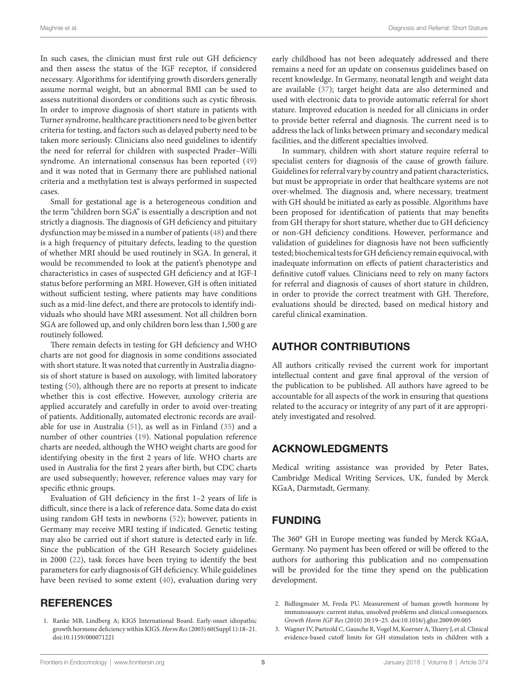In such cases, the clinician must first rule out GH deficiency and then assess the status of the IGF receptor, if considered necessary. Algorithms for identifying growth disorders generally assume normal weight, but an abnormal BMI can be used to assess nutritional disorders or conditions such as cystic fibrosis. In order to improve diagnosis of short stature in patients with Turner syndrome, healthcare practitioners need to be given better criteria for testing, and factors such as delayed puberty need to be taken more seriously. Clinicians also need guidelines to identify the need for referral for children with suspected Prader–Willi syndrome. An international consensus has been reported ([49\)](#page-6-5) and it was noted that in Germany there are published national criteria and a methylation test is always performed in suspected cases.

Small for gestational age is a heterogeneous condition and the term "children born SGA" is essentially a description and not strictly a diagnosis. The diagnosis of GH deficiency and pituitary dysfunction may be missed in a number of patients ([48\)](#page-6-4) and there is a high frequency of pituitary defects, leading to the question of whether MRI should be used routinely in SGA. In general, it would be recommended to look at the patient's phenotype and characteristics in cases of suspected GH deficiency and at IGF-I status before performing an MRI. However, GH is often initiated without sufficient testing, where patients may have conditions such as a mid-line defect, and there are protocols to identify individuals who should have MRI assessment. Not all children born SGA are followed up, and only children born less than 1,500 g are routinely followed.

There remain defects in testing for GH deficiency and WHO charts are not good for diagnosis in some conditions associated with short stature. It was noted that currently in Australia diagnosis of short stature is based on auxology, with limited laboratory testing ([50\)](#page-6-6), although there are no reports at present to indicate whether this is cost effective. However, auxology criteria are applied accurately and carefully in order to avoid over-treating of patients. Additionally, automated electronic records are available for use in Australia [\(51](#page-6-7)), as well as in Finland ([35\)](#page-5-31) and a number of other countries [\(19](#page-5-15)). National population reference charts are needed, although the WHO weight charts are good for identifying obesity in the first 2 years of life. WHO charts are used in Australia for the first 2 years after birth, but CDC charts are used subsequently; however, reference values may vary for specific ethnic groups.

Evaluation of GH deficiency in the first 1–2 years of life is difficult, since there is a lack of reference data. Some data do exist using random GH tests in newborns [\(52](#page-6-8)); however, patients in Germany may receive MRI testing if indicated. Genetic testing may also be carried out if short stature is detected early in life. Since the publication of the GH Research Society guidelines in 2000 ([22\)](#page-5-18), task forces have been trying to identify the best parameters for early diagnosis of GH deficiency. While guidelines have been revised to some extent ([40\)](#page-5-38), evaluation during very

#### **REFERENCES**

<span id="page-4-0"></span>1. Ranke MB, Lindberg A; KIGS International Board. Early-onset idiopathic growth hormone deficiency within KIGS. *Horm Res* (2003) 60(Suppl 1):18–21. doi:[10.1159/000071221](https://doi.org/10.1159/000071221)

early childhood has not been adequately addressed and there remains a need for an update on consensus guidelines based on recent knowledge. In Germany, neonatal length and weight data are available [\(37\)](#page-5-39); target height data are also determined and used with electronic data to provide automatic referral for short stature. Improved education is needed for all clinicians in order to provide better referral and diagnosis. The current need is to address the lack of links between primary and secondary medical facilities, and the different specialties involved.

In summary, children with short stature require referral to specialist centers for diagnosis of the cause of growth failure. Guidelines for referral vary by country and patient characteristics, but must be appropriate in order that healthcare systems are not over-whelmed. The diagnosis and, where necessary, treatment with GH should be initiated as early as possible. Algorithms have been proposed for identification of patients that may benefits from GH therapy for short stature, whether due to GH deficiency or non-GH deficiency conditions. However, performance and validation of guidelines for diagnosis have not been sufficiently tested; biochemical tests for GH deficiency remain equivocal, with inadequate information on effects of patient characteristics and definitive cutoff values. Clinicians need to rely on many factors for referral and diagnosis of causes of short stature in children, in order to provide the correct treatment with GH. Therefore, evaluations should be directed, based on medical history and careful clinical examination.

## AUTHOR CONTRIBUTIONS

All authors critically revised the current work for important intellectual content and gave final approval of the version of the publication to be published. All authors have agreed to be accountable for all aspects of the work in ensuring that questions related to the accuracy or integrity of any part of it are appropriately investigated and resolved.

#### ACKNOWLEDGMENTS

Medical writing assistance was provided by Peter Bates, Cambridge Medical Writing Services, UK, funded by Merck KGaA, Darmstadt, Germany.

## FUNDING

The 360° GH in Europe meeting was funded by Merck KGaA, Germany. No payment has been offered or will be offered to the authors for authoring this publication and no compensation will be provided for the time they spend on the publication development.

- <span id="page-4-1"></span>2. Bidlingmaier M, Freda PU. Measurement of human growth hormone by immunoassays: current status, unsolved problems and clinical consequences. *Growth Horm IGF Res* (2010) 20:19–25. doi:[10.1016/j.ghir.2009.09.005](https://doi.org/10.1016/j.ghir.
2009.09.005)
- <span id="page-4-2"></span>3. Wagner IV, Paetzold C, Gausche R, Vogel M, Koerner A, Thiery J, et al. Clinical evidence-based cutoff limits for GH stimulation tests in children with a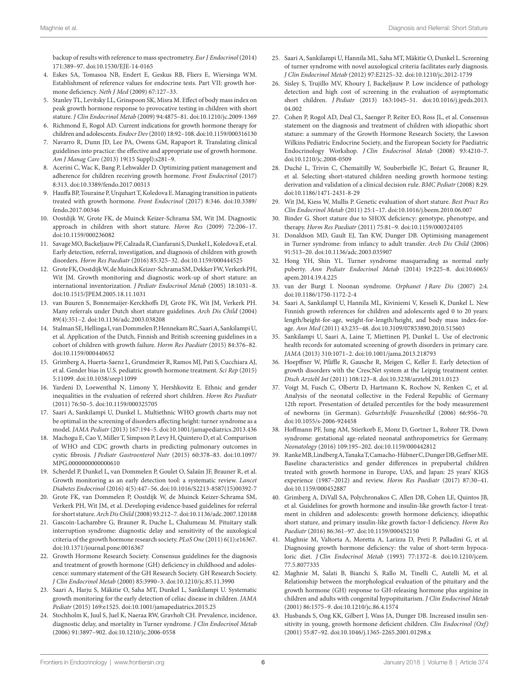<span id="page-5-0"></span>backup of results with reference to mass spectrometry. *Eur J Endocrinol* (2014) 171:389–97. doi:[10.1530/EJE-14-0165](https://doi.org/10.1530/EJE-14-0165)

- 4. Eskes SA, Tomasoa NB, Endert E, Geskus RB, Fliers E, Wiersinga WM. Establishment of reference values for endocrine tests. Part VII: growth hormone deficiency. *Neth J Med* (2009) 67:127–33.
- <span id="page-5-1"></span>5. Stanley TL, Levitsky LL, Grinspoon SK, Misra M. Effect of body mass index on peak growth hormone response to provocative testing in children with short stature. *J Clin Endocrinol Metab* (2009) 94:4875–81. doi[:10.1210/jc.2009-1369](https://doi.org/10.1210/jc.2009-1369)
- <span id="page-5-3"></span>6. Richmond E, Rogol AD. Current indications for growth hormone therapy for children and adolescents. *Endocr Dev* (2010) 18:92–108. doi[:10.1159/000316130](https://doi.org/10.1159/000316130)
- <span id="page-5-4"></span>7. Navarro R, Dunn JD, Lee PA, Owens GM, Rapaport R. Translating clinical guidelines into practice: the effective and appropriate use of growth hormone. *Am J Manag Care* (2013) 19(15 Suppl):s281–9.
- <span id="page-5-5"></span>8. Acerini C, Wac K, Bang P, Lehwalder D. Optimizing patient management and adherence for children receiving growth hormone. *Front Endocrinol* (2017) 8:313. doi[:10.3389/fendo.2017.00313](https://doi.org/10.3389/fendo.2017.00313)
- <span id="page-5-6"></span>9. Hauffa BP, Touraine P, Urquhart T, Koledova E. Managing transition in patients treated with growth hormone. *Front Endocrinol* (2017) 8:346. doi[:10.3389/](https://doi.org/10.3389/fendo.2017.00346) [fendo.2017.00346](https://doi.org/10.3389/fendo.2017.00346)
- <span id="page-5-7"></span>10. Oostdijk W, Grote FK, de Muinck Keizer-Schrama SM, Wit JM. Diagnostic approach in children with short stature. *Horm Res* (2009) 72:206–17. doi:[10.1159/000236082](https://doi.org/10.1159/000236082)
- <span id="page-5-8"></span>11. Savage MO, Backeljauw PF, Calzada R, Cianfarani S, Dunkel L, Koledova E, et al. Early detection, referral, investigation, and diagnosis of children with growth disorders. *Horm Res Paediatr* (2016) 85:325–32. doi:[10.1159/000444525](https://doi.org/10.1159/000444525)
- <span id="page-5-9"></span>12. Grote FK, Oostdijk W, de Muinck Keizer-Schrama SM, Dekker FW, Verkerk PH, Wit JM. Growth monitoring and diagnostic work-up of short stature: an international inventorization. *J Pediatr Endocrinol Metab* (2005) 18:1031–8. doi:[10.1515/JPEM.2005.18.11.1031](https://doi.org/10.1515/JPEM.2005.18.11.1031)
- <span id="page-5-10"></span>13. van Buuren S, Bonnemaijer-Kerckhoffs DJ, Grote FK, Wit JM, Verkerk PH. Many referrals under Dutch short stature guidelines. *Arch Dis Child* (2004) 89(4):351–2. doi[:10.1136/adc.2003.038208](https://doi.org/10.1136/adc.2003.038208)
- <span id="page-5-2"></span>14. Stalman SE, Hellinga I, van Dommelen P, Hennekam RC, Saari A, Sankilampi U, et al. Application of the Dutch, Finnish and British screening guidelines in a cohort of children with growth failure. *Horm Res Paediatr* (2015) 84:376–82. doi:[10.1159/000440652](https://doi.org/10.1159/000440652)
- <span id="page-5-11"></span>15. Grimberg A, Huerta-Saenz L, Grundmeier R, Ramos MJ, Pati S, Cucchiara AJ, et al. Gender bias in U.S. pediatric growth hormone treatment. *Sci Rep* (2015) 5:11099. doi[:10.1038/srep11099](https://doi.org/10.1038/srep11099)
- <span id="page-5-12"></span>16. Yardeni D, Loewenthal N, Limony Y, Hershkovitz E. Ethnic and gender inequalities in the evaluation of referred short children. *Horm Res Paediatr* (2011) 76:50–5. doi[:10.1159/000325705](https://doi.org/10.1159/000325705)
- <span id="page-5-13"></span>17. Saari A, Sankilampi U, Dunkel L. Multiethnic WHO growth charts may not be optimal in the screening of disorders affecting height: turner syndrome as a model. *JAMA Pediatr* (2013) 167:194–5. doi:[10.1001/jamapediatrics.2013.436](https://doi.org/10.1001/jamapediatrics.2013.436)
- <span id="page-5-14"></span>18. Machogu E, Cao Y, Miller T, Simpson P, Levy H, Quintero D, et al. Comparison of WHO and CDC growth charts in predicting pulmonary outcomes in cystic fibrosis. *J Pediatr Gastroenterol Nutr* (2015) 60:378–83. doi[:10.1097/](https://doi.org/10.1097/MPG.0000000000000610) [MPG.0000000000000610](https://doi.org/10.1097/MPG.0000000000000610)
- <span id="page-5-15"></span>19. Scherdel P, Dunkel L, van Dommelen P, Goulet O, Salaün JF, Brauner R, et al. Growth monitoring as an early detection tool: a systematic review. *Lancet Diabetes Endocrinol* (2016) 4(5):447–56. doi:[10.1016/S2213-8587\(15\)00392-7](https://doi.org/10.1016/S2213-8587(15)00392-7)
- <span id="page-5-16"></span>20. Grote FK, van Dommelen P, Oostdijk W, de Muinck Keizer-Schrama SM, Verkerk PH, Wit JM, et al. Developing evidence-based guidelines for referral for short stature. *Arch Dis Child* (2008) 93:212–7. doi:[10.1136/adc.2007.120188](https://doi.org/10.1136/adc.2007.120188)
- <span id="page-5-17"></span>21. Gascoin-Lachambre G, Brauner R, Duche L, Chalumeau M. Pituitary stalk interruption syndrome: diagnostic delay and sensitivity of the auxological criteria of the growth hormone research society. *PLoS One* (2011) 6(1):e16367. doi:[10.1371/journal.pone.0016367](https://doi.org/10.1371/journal.pone.0016367)
- <span id="page-5-18"></span>22. Growth Hormone Research Society. Consensus guidelines for the diagnosis and treatment of growth hormone (GH) deficiency in childhood and adolescence: summary statement of the GH Research Society. GH Research Society. *J Clin Endocrinol Metab* (2000) 85:3990–3. doi:[10.1210/jc.85.11.3990](https://doi.org/10.1210/jc.85.11.3990)
- <span id="page-5-19"></span>23. Saari A, Harju S, Mäkitie O, Saha MT, Dunkel L, Sankilampi U. Systematic growth monitoring for the early detection of celiac disease in children. *JAMA Pediatr* (2015) 169:e1525. doi[:10.1001/jamapediatrics.2015.25](https://doi.org/10.1001/jamapediatrics.2015.25)
- <span id="page-5-20"></span>24. Stochholm K, Juul S, Juel K, Naeraa RW, Gravholt CH. Prevalence, incidence, diagnostic delay, and mortality in Turner syndrome. *J Clin Endocrinol Metab* (2006) 91:3897–902. doi[:10.1210/jc.2006-0558](https://doi.org/10.1210/jc.2006-0558)
- <span id="page-5-21"></span>25. Saari A, Sankilampi U, Hannila ML, Saha MT, Mäkitie O, Dunkel L. Screening of turner syndrome with novel auxological criteria facilitates early diagnosis. *J Clin Endocrinol Metab* (2012) 97:E2125–32. doi:[10.1210/jc.2012-1739](https://doi.org/10.1210/jc.2012-1739)
- <span id="page-5-22"></span>26. Sisley S, Trujillo MV, Khoury J, Backeljauw P. Low incidence of pathology detection and high cost of screening in the evaluation of asymptomatic short children. *J Pediatr* (2013) 163:1045–51. doi:[10.1016/j.jpeds.2013.](https://doi.org/10.1016/j.jpeds.2013.04.002) 04.002
- <span id="page-5-23"></span>27. Cohen P, Rogol AD, Deal CL, Saenger P, Reiter EO, Ross JL, et al. Consensus statement on the diagnosis and treatment of children with idiopathic short stature: a summary of the Growth Hormone Research Society, the Lawson Wilkins Pediatric Endocrine Society, and the European Society for Paediatric Endocrinology Workshop. *J Clin Endocrinol Metab* (2008) 93:4210–7. doi:[10.1210/jc.2008-0509](https://doi.org/10.1210/jc.2008-0509)
- <span id="page-5-24"></span>28. Duché L, Trivin C, Chemaitilly W, Souberbielle JC, Bréart G, Brauner R, et al. Selecting short-statured children needing growth hormone testing: derivation and validation of a clinical decision rule. *BMC Pediatr* (2008) 8:29. doi:[10.1186/1471-2431-8-29](https://doi.org/10.1186/1471-2431-8-29)
- <span id="page-5-25"></span>29. Wit JM, Kiess W, Mullis P. Genetic evaluation of short stature. *Best Pract Res Clin Endocrinol Metab* (2011) 25:1–17. doi[:10.1016/j.beem.2010.06.007](https://doi.org/10.1016/j.beem.2010.06.007)
- <span id="page-5-26"></span>30. Binder G. Short stature due to SHOX deficiency: genotype, phenotype, and therapy. *Horm Res Paediatr* (2011) 75:81–9. doi:[10.1159/000324105](https://doi.org/10.1159/000324105)
- <span id="page-5-27"></span>31. Donaldson MD, Gault EJ, Tan KW, Dunger DB. Optimising management in Turner syndrome: from infancy to adult transfer. *Arch Dis Child* (2006) 91:513–20. doi:[10.1136/adc.2003.035907](https://doi.org/10.1136/adc.2003.035907)
- <span id="page-5-28"></span>32. Hong YH, Shin YL. Turner syndrome masquerading as normal early puberty. *Ann Pediatr Endocrinol Metab* (2014) 19:225–8. doi[:10.6065/](https://doi.org/10.6065/apem.2014.19.4.225) [apem.2014.19.4.225](https://doi.org/10.6065/apem.2014.19.4.225)
- <span id="page-5-29"></span>33. van der Burgt I. Noonan syndrome. *Orphanet J Rare Dis* (2007) 2:4. doi:[10.1186/1750-1172-2-4](https://doi.org/10.1186/1750-1172-2-4)
- <span id="page-5-30"></span>34. Saari A, Sankilampl U, Hannila ML, Kiviniemi V, Kesseli K, Dunkel L. New Finnish growth references for children and adolescents aged 0 to 20 years: length/height-for-age, weight-for-length/height, and body mass index-forage. *Ann Med* (2011) 43:235–48. doi[:10.3109/07853890.2010.515603](https://doi.org/10.3109/07853890.2010.515603)
- <span id="page-5-31"></span>35. Sankilampi U, Saari A, Laine T, Miettinen PJ, Dunkel L. Use of electronic health records for automated screening of growth disorders in primary care. *JAMA* (2013) 310:1071–2. doi[:10.1001/jama.2013.218793](https://doi.org/10.1001/jama.2013.218793)
- <span id="page-5-32"></span>36. Hoepffner W, Pfäffle R, Gausche R, Meigen C, Keller E. Early detection of growth disorders with the CrescNet system at the Leipzig treatment center. *Dtsch Arztebl Int* (2011) 108:123–8. doi[:10.3238/arztebl.2011.0123](https://doi.org/10.3238/arztebl.2011.0123)
- <span id="page-5-39"></span>37. Voigt M, Fusch C, Olbertz D, Hartmann K, Rochow N, Renken C, et al. Analysis of the neonatal collective in the Federal Republic of Germany 12th report. Presentation of detailed percentiles for the body measurement of newborns (in German). *Geburtshilfe Frauenheilkd* (2006) 66:956–70. doi:[10.1055/s-2006-924458](https://doi.org/10.1055/s-2006-924458)
- <span id="page-5-33"></span>38. Hoffmann PF, Jung AM, Stierkorb E, Monz D, Gortner L, Rohrer TR. Down syndrome: gestational age-related neonatal anthropometrics for Germany. *Neonatology* (2016) 109:195–202. doi:[10.1159/000442812](https://doi.org/10.1159/000442812)
- <span id="page-5-34"></span>39. Ranke MB, Lindberg A, Tanaka T, Camacho-Hübner C, Dunger DB, Geffner ME. Baseline characteristics and gender differences in prepubertal children treated with growth hormone in Europe, UAS, and Japan: 25 years' KIGS experience (1987–2012) and review. *Horm Res Paediatr* (2017) 87:30–41. doi:[10.1159/000452887](https://doi.org/10.1159/000452887)
- <span id="page-5-38"></span>40. Grimberg A, DiVall SA, Polychronakos C, Allen DB, Cohen LE, Quintos JB, et al. Guidelines for growth hormone and insulin-like growth factor-I treatment in children and adolescents: growth hormone deficiency, idiopathic short stature, and primary insulin-like growth factor-I deficiency. *Horm Res Paediatr* (2016) 86:361–97. doi:[10.1159/000452150](https://doi.org/10.1159/000452150)
- <span id="page-5-35"></span>41. Maghnie M, Valtorta A, Moretta A, Larizza D, Preti P, Palladini G, et al. Diagnosing growth hormone deficiency: the value of short-term hypocaloric diet. *J Clin Endocrinol Metab* (1993) 77:1372–8. doi:[10.1210/jcem.](https://doi.org/10.1210/jcem.
77.5.8077335) [77.5.8077335](https://doi.org/10.1210/jcem.
77.5.8077335)
- <span id="page-5-36"></span>42. Maghnie M, Salati B, Bianchi S, Rallo M, Tinelli C, Autelli M, et al. Relationship between the morphological evaluation of the pituitary and the growth hormone (GH) response to GH-releasing hormone plus arginine in children and adults with congenital hypopituitarism. *J Clin Endocrinol Metab* (2001) 86:1575–9. doi[:10.1210/jc.86.4.1574](https://doi.org/10.1210/jc.86.4.1574)
- <span id="page-5-37"></span>43. Husbands S, Ong KK, Gilbert J, Wass JA, Dunger DB. Increased insulin sensitivity in young, growth hormone deficient children. *Clin Endocrinol (Oxf)* (2001) 55:87–92. doi[:10.1046/j.1365-2265.2001.01298.x](https://doi.org/10.1046/j.1365-2265.2001.01298.x)